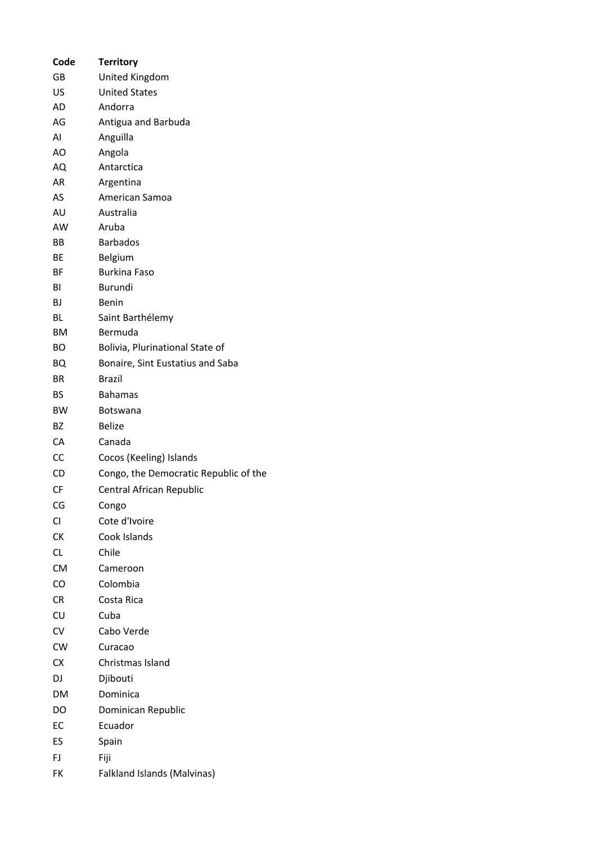| Code      | <b>Territory</b>                      |
|-----------|---------------------------------------|
| GB        | United Kingdom                        |
| US        | <b>United States</b>                  |
| AD        | Andorra                               |
| AG        | Antigua and Barbuda                   |
| AI        | Anguilla                              |
| AO        | Angola                                |
| AQ        | Antarctica                            |
| AR        | Argentina                             |
| AS        | American Samoa                        |
| AU        | Australia                             |
| AW        | Aruba                                 |
| BВ        | <b>Barbados</b>                       |
| BЕ        | Belgium                               |
| ВF        | <b>Burkina Faso</b>                   |
| ΒI        | Burundi                               |
| ВJ        | <b>Benin</b>                          |
| BL        | Saint Barthélemy                      |
| ВM        | Bermuda                               |
| BО        | Bolivia, Plurinational State of       |
| BQ        | Bonaire, Sint Eustatius and Saba      |
| ΒR        | Brazil                                |
| ВS        | <b>Bahamas</b>                        |
| <b>BW</b> | <b>Botswana</b>                       |
| BZ        | <b>Belize</b>                         |
| CA        | Canada                                |
| CC        | Cocos (Keeling) Islands               |
| CD        | Congo, the Democratic Republic of the |
| CF        | Central African Republic              |
| CG        | Congo                                 |
| СI        | Cote d'Ivoire                         |
| СK        | Cook Islands                          |
| <b>CL</b> | Chile                                 |
| <b>CM</b> | Cameroon                              |
| CO        | Colombia                              |
| CR        | Costa Rica                            |
| CU        | Cuba                                  |
| CV        | Cabo Verde                            |
| CW        | Curacao                               |
| CX        | Christmas Island                      |
| DJ        | Djibouti                              |
| DM        | Dominica                              |
| DO        | Dominican Republic                    |
| EC        | Ecuador                               |
|           |                                       |
| ES        | Spain                                 |
| FJ.       | Fiji                                  |
| FK        | Falkland Islands (Malvinas)           |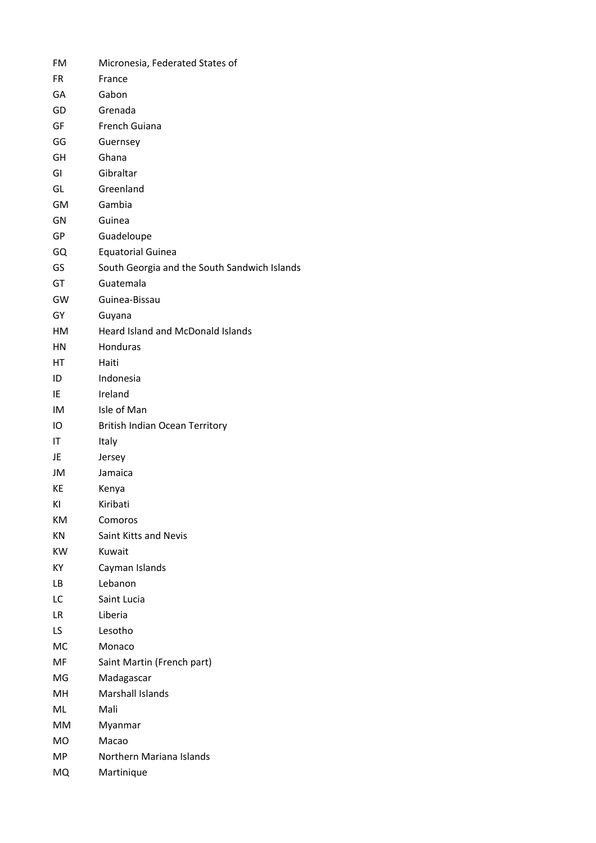| FM  | Micronesia, Federated States of              |
|-----|----------------------------------------------|
| FR  | France                                       |
| GA  | Gabon                                        |
| GD  | Grenada                                      |
| GF  | French Guiana                                |
| GG  | Guernsey                                     |
| GH  | Ghana                                        |
| GI  | Gibraltar                                    |
| GL  | Greenland                                    |
| GM  | Gambia                                       |
| GN  | Guinea                                       |
| GP  | Guadeloupe                                   |
| GQ  | <b>Equatorial Guinea</b>                     |
| GS  | South Georgia and the South Sandwich Islands |
| GT  | Guatemala                                    |
| GW  | Guinea-Bissau                                |
| GY  | Guyana                                       |
| HM  | <b>Heard Island and McDonald Islands</b>     |
| HN  | Honduras                                     |
| НT  | Haiti                                        |
| ID  | Indonesia                                    |
| IE  | Ireland                                      |
| IM  | Isle of Man                                  |
| IO  | <b>British Indian Ocean Territory</b>        |
| ΙT  | Italy                                        |
| JE  | Jersey                                       |
| JM  | Jamaica                                      |
| КE  | Kenya                                        |
| ΚI  | Kiribati                                     |
| ΚM  | Comoros                                      |
| KN  | Saint Kitts and Nevis                        |
| KW. | Kuwait                                       |
| ΚY  | Cayman Islands                               |
| LВ  | Lebanon                                      |
| LC  | Saint Lucia                                  |
| LR. | Liberia                                      |
| LS. | Lesotho                                      |
| МC  | Monaco                                       |
| MF  | Saint Martin (French part)                   |
| MG  | Madagascar                                   |
| MН  | Marshall Islands                             |
| ML  | Mali                                         |
| MМ  | Myanmar                                      |
| МO  | Macao                                        |
| MP  | Northern Mariana Islands                     |
| MQ  | Martinique                                   |
|     |                                              |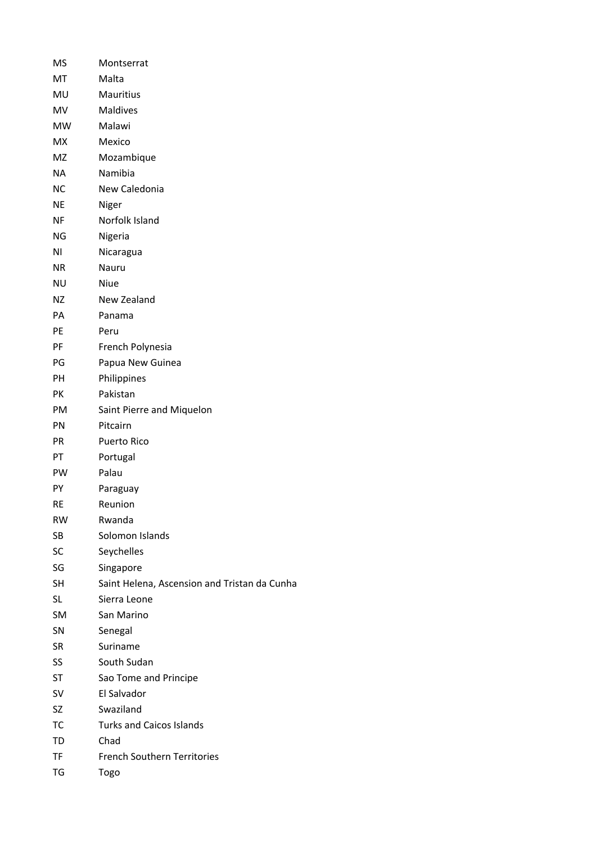| MS        | Montserrat                                   |
|-----------|----------------------------------------------|
| МT        | Malta                                        |
| MU        | Mauritius                                    |
| MV        | <b>Maldives</b>                              |
| <b>MW</b> | Malawi                                       |
| MX        | Mexico                                       |
| MZ        | Mozambique                                   |
| NA.       | Namibia                                      |
| <b>NC</b> | New Caledonia                                |
| ΝE        | Niger                                        |
| ΝF        | Norfolk Island                               |
| ΝG        | Nigeria                                      |
| ΝI        | Nicaragua                                    |
| NR.       | Nauru                                        |
| ΝU        | Niue                                         |
| ΝZ        | New Zealand                                  |
| PА        | Panama                                       |
| PE        | Peru                                         |
| PF        | French Polynesia                             |
| PG        | Papua New Guinea                             |
| <b>PH</b> | Philippines                                  |
| PK        | Pakistan                                     |
| PM        | Saint Pierre and Miquelon                    |
| <b>PN</b> | Pitcairn                                     |
| <b>PR</b> | Puerto Rico                                  |
| PT        | Portugal                                     |
| <b>PW</b> | Palau                                        |
| PY        | Paraguay                                     |
| RE        | Reunion                                      |
| <b>RW</b> | Rwanda                                       |
| SB        | Solomon Islands                              |
| SC        | Seychelles                                   |
| SG        | Singapore                                    |
| SH        | Saint Helena, Ascension and Tristan da Cunha |
| SL        | Sierra Leone                                 |
| SM        | San Marino                                   |
| SN        | Senegal                                      |
| SR        | Suriname                                     |
| SS        | South Sudan                                  |
| ST        | Sao Tome and Principe                        |
| SV        | El Salvador                                  |
| SZ        | Swaziland                                    |
| TC        | <b>Turks and Caicos Islands</b>              |
| TD        | Chad                                         |
| TF        | <b>French Southern Territories</b>           |
| TG        | Togo                                         |
|           |                                              |